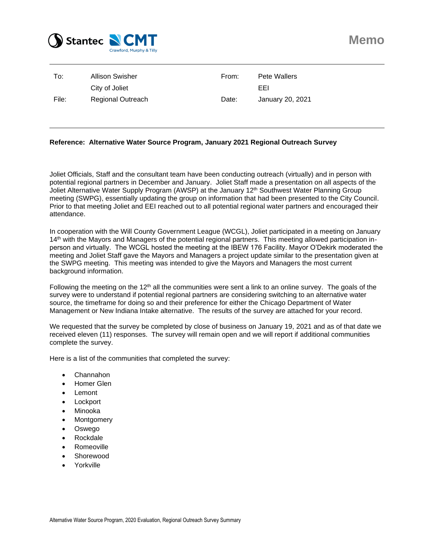

| To:   | Allison Swisher          | From: | Pete Wallers     |
|-------|--------------------------|-------|------------------|
|       | City of Joliet           |       | EEL              |
| File: | <b>Regional Outreach</b> | Date: | January 20, 2021 |

#### **Reference: Alternative Water Source Program, January 2021 Regional Outreach Survey**

Joliet Officials, Staff and the consultant team have been conducting outreach (virtually) and in person with potential regional partners in December and January. Joliet Staff made a presentation on all aspects of the Joliet Alternative Water Supply Program (AWSP) at the January 12<sup>th</sup> Southwest Water Planning Group meeting (SWPG), essentially updating the group on information that had been presented to the City Council. Prior to that meeting Joliet and EEI reached out to all potential regional water partners and encouraged their attendance.

In cooperation with the Will County Government League (WCGL), Joliet participated in a meeting on January 14th with the Mayors and Managers of the potential regional partners. This meeting allowed participation inperson and virtually. The WCGL hosted the meeting at the IBEW 176 Facility. Mayor O'Dekirk moderated the meeting and Joliet Staff gave the Mayors and Managers a project update similar to the presentation given at the SWPG meeting. This meeting was intended to give the Mayors and Managers the most current background information.

Following the meeting on the 12<sup>th</sup> all the communities were sent a link to an online survey. The goals of the survey were to understand if potential regional partners are considering switching to an alternative water source, the timeframe for doing so and their preference for either the Chicago Department of Water Management or New Indiana Intake alternative. The results of the survey are attached for your record.

We requested that the survey be completed by close of business on January 19, 2021 and as of that date we received eleven (11) responses. The survey will remain open and we will report if additional communities complete the survey.

Here is a list of the communities that completed the survey:

- Channahon
- Homer Glen
- **Lemont**
- **Lockport**
- Minooka
- **Montgomery**
- Oswego
- Rockdale
- Romeoville
- Shorewood
- Yorkville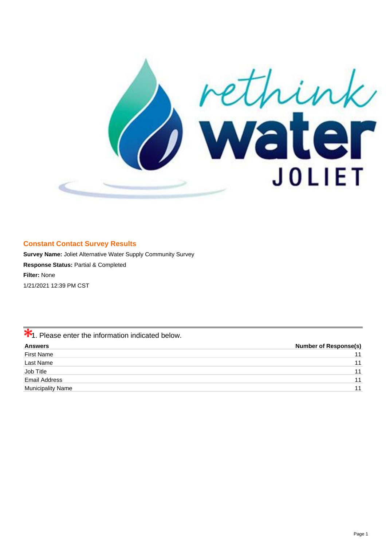

### **Constant Contact Survey Results**

**Survey Name:** Joliet Alternative Water Supply Community Survey **Response Status:** Partial & Completed **Filter:** None 1/21/2021 12:39 PM CST

 $\frac{1}{1}$ . Please enter the information indicated below.

| <b>Answers</b>           | <b>Number of Response(s)</b> |
|--------------------------|------------------------------|
| <b>First Name</b>        | 11                           |
| Last Name                | 11                           |
| Job Title                | 11                           |
| Email Address            | 11                           |
| <b>Municipality Name</b> | 11                           |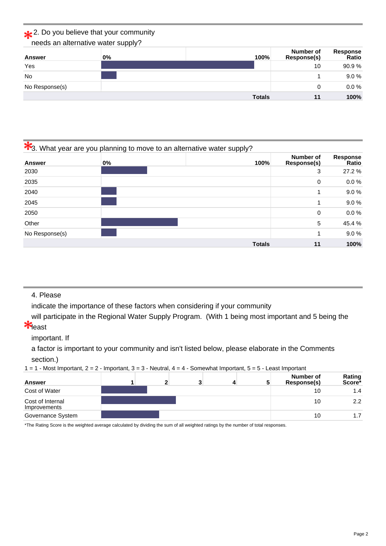## 2. Do you believe that your community

needs an alternative water supply?

| Answer         | $0\%$ | 100%          | Number of<br>Response(s) | Response<br>Ratio |
|----------------|-------|---------------|--------------------------|-------------------|
| Yes            |       |               | 10                       | 90.9%             |
| <b>No</b>      |       |               |                          | 9.0%              |
| No Response(s) |       |               | 0                        | $0.0 \%$          |
|                |       | <b>Totals</b> | 11                       | 100%              |

# **3.** What year are you planning to move to an alternative water supply?

| <b>Answer</b>  | 0% | 100%          | Number of<br><b>Response(s)</b> | <b>Response</b><br>Ratio |
|----------------|----|---------------|---------------------------------|--------------------------|
| 2030           |    |               | 3                               | 27.2 %                   |
| 2035           |    |               | 0                               | $0.0 \%$                 |
| 2040           |    |               | 1                               | 9.0%                     |
| 2045           |    |               | 1                               | 9.0%                     |
| 2050           |    |               | 0                               | $0.0 \%$                 |
| Other          |    |               | 5                               | 45.4%                    |
| No Response(s) |    |               | 1                               | 9.0%                     |
|                |    | <b>Totals</b> | 11                              | 100%                     |

### 4. Please

indicate the importance of these factors when considering if your community

will participate in the Regional Water Supply Program. (With 1 being most important and 5 being the **X**east

### important. If

a factor is important to your community and isn't listed below, please elaborate in the Comments section.)

 $1 = 1$  - Most Important,  $2 = 2$  - Important,  $3 = 3$  - Neutral,  $4 = 4$  - Somewhat Important,  $5 = 5$  - Least Important

| <b>Answer</b>                    |  |  | 5 | Number of<br>Response(s) | Rating<br>Score <sup>*</sup> |
|----------------------------------|--|--|---|--------------------------|------------------------------|
| Cost of Water                    |  |  |   | 10                       | 1.4                          |
| Cost of Internal<br>Improvements |  |  |   | 10                       | 2.2                          |
| Governance System                |  |  |   | 10                       | 1.7                          |

\*The Rating Score is the weighted average calculated by dividing the sum of all weighted ratings by the number of total responses.